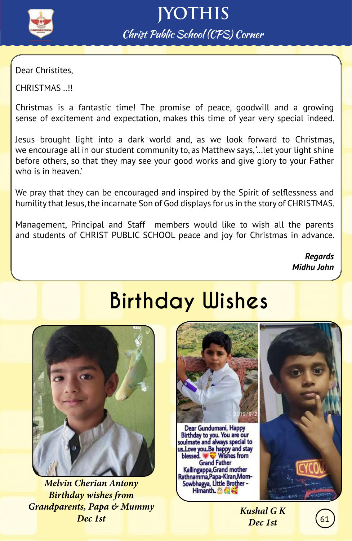

Dear Christites,

CHRISTMAS ..!!

Christmas is a fantastic time! The promise of peace, goodwill and a growing sense of excitement and expectation, makes this time of year very special indeed.

Jesus brought light into a dark world and, as we look forward to Christmas, we encourage all in our student community to, as Matthew says, '…let your light shine before others, so that they may see your good works and give glory to your Father who is in heaven.'

We pray that they can be encouraged and inspired by the Spirit of selflessness and humility that Jesus, the incarnate Son of God displays for us in the story of CHRISTMAS.

Management, Principal and Staff members would like to wish all the parents and students of CHRIST PUBLIC SCHOOL peace and joy for Christmas in advance.

> *Regards Midhu John*

# **Birthday Wishes**



*Melvin Cherian Antony Birthday wishes from Grandparents, Papa & Mummy Dec 1st*



*Kushal G K Dec 1st*

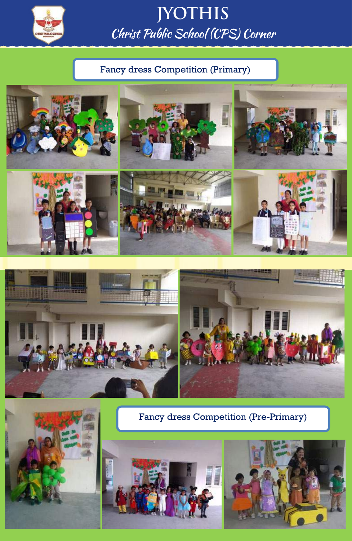

Ī

#### **JYOTHIS** Christ Public School (CPS) Corner

#### Fancy dress Competition (Primary)









Fancy dress Competition (Pre-Primary)



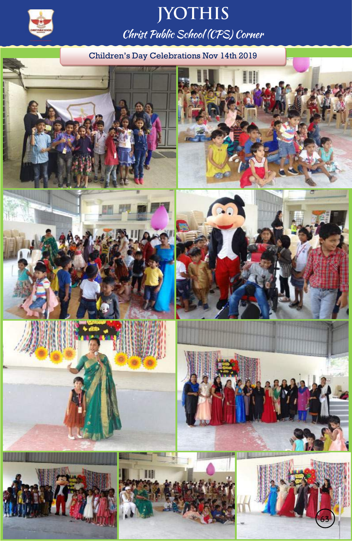

Children's Day Celebrations Nov 14th 2019

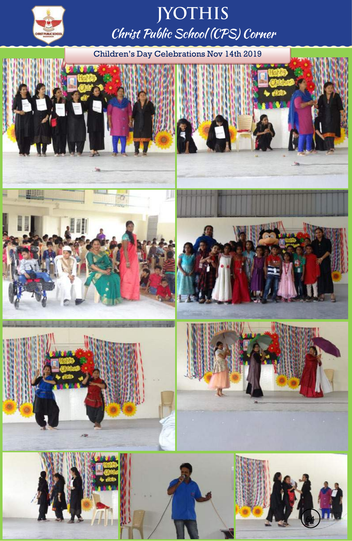

Children's Day Celebrations Nov 14th 2019